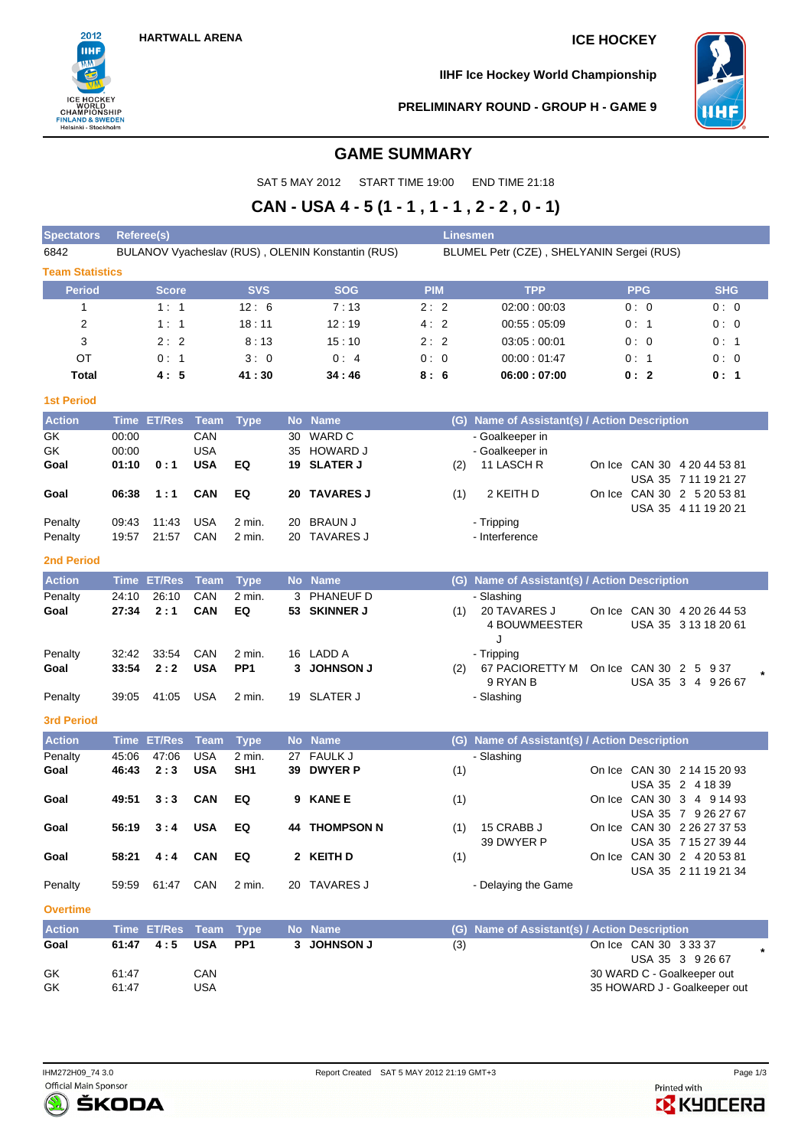

**IIHF Ice Hockey World Championship**



**PRELIMINARY ROUND - GROUP H - GAME 9**

# **GAME SUMMARY**

SAT 5 MAY 2012 START TIME 19:00 END TIME 21:18

# **CAN - USA 4 - 5 (1 - 1 , 1 - 1 , 2 - 2 , 0 - 1)**

| <b>Spectators</b>      | <b>Linesmen</b><br>Referee(s) |               |                          |                           |    |                                                   |                                           |            |                                               |  |                       |                                                            |  |  |  |  |  |  |
|------------------------|-------------------------------|---------------|--------------------------|---------------------------|----|---------------------------------------------------|-------------------------------------------|------------|-----------------------------------------------|--|-----------------------|------------------------------------------------------------|--|--|--|--|--|--|
| 6842                   |                               |               |                          |                           |    | BULANOV Vyacheslav (RUS), OLENIN Konstantin (RUS) | BLUMEL Petr (CZE), SHELYANIN Sergei (RUS) |            |                                               |  |                       |                                                            |  |  |  |  |  |  |
| <b>Team Statistics</b> |                               |               |                          |                           |    |                                                   |                                           |            |                                               |  |                       |                                                            |  |  |  |  |  |  |
| <b>Period</b>          |                               | Score         |                          | <b>SVS</b>                |    | <b>SOG</b>                                        |                                           | <b>PIM</b> | <b>TPP</b>                                    |  | <b>PPG</b>            | <b>SHG</b>                                                 |  |  |  |  |  |  |
| $\mathbf{1}$           |                               | 1:1           |                          | 12:6                      |    | 7:13                                              | 2:2                                       |            | 02:00:00:03                                   |  | 0:0                   | 0:0                                                        |  |  |  |  |  |  |
| 2                      |                               | 1:1           |                          | 18:11                     |    | 12:19                                             | 4:2                                       |            | 00:55:05:09                                   |  | 0:1                   | 0:0                                                        |  |  |  |  |  |  |
| 3                      |                               | 2:2           |                          | 8:13                      |    | 15:10                                             | 2:2                                       |            | 03:05:00:01                                   |  | 0:0                   | 0:1                                                        |  |  |  |  |  |  |
| ОT                     |                               | 0:1           |                          | 3:0                       |    | 0:4                                               | 0:0                                       |            | 00:00:01:47                                   |  | 0:1                   | 0:0                                                        |  |  |  |  |  |  |
| Total                  |                               | 4:5           |                          | 41 : 30                   |    | 34 : 46                                           | 8:6                                       |            | 06:00:07:00                                   |  | 0:2                   | 0: 1                                                       |  |  |  |  |  |  |
| <b>1st Period</b>      |                               |               |                          |                           |    |                                                   |                                           |            |                                               |  |                       |                                                            |  |  |  |  |  |  |
| <b>Action</b>          |                               | Time ET/Res   | Team                     | <b>Type</b>               |    | No Name                                           |                                           |            | (G) Name of Assistant(s) / Action Description |  |                       |                                                            |  |  |  |  |  |  |
| GK                     | 00:00                         |               | CAN                      |                           |    | 30 WARD C                                         |                                           |            | - Goalkeeper in                               |  |                       |                                                            |  |  |  |  |  |  |
| GK                     | 00:00                         |               | <b>USA</b>               |                           |    | 35 HOWARD J                                       |                                           |            | - Goalkeeper in                               |  |                       |                                                            |  |  |  |  |  |  |
| Goal                   | 01:10                         | 0:1           | <b>USA</b>               | EQ                        |    | 19 SLATER J                                       |                                           | (2)        | 11 LASCH R                                    |  |                       | On Ice CAN 30 4 20 44 53 81<br>USA 35 7 11 19 21 27        |  |  |  |  |  |  |
| Goal                   | 06:38                         | 1:1           | <b>CAN</b>               | EQ                        |    | 20 TAVARES J                                      |                                           | (1)        | 2 KEITH D                                     |  |                       | On Ice CAN 30 2 5 20 53 81                                 |  |  |  |  |  |  |
|                        |                               |               |                          |                           |    |                                                   |                                           |            |                                               |  |                       | USA 35 4 11 19 20 21                                       |  |  |  |  |  |  |
| Penalty                | 09:43                         | 11:43         | <b>USA</b>               | 2 min.                    |    | 20 BRAUN J                                        |                                           |            | - Tripping                                    |  |                       |                                                            |  |  |  |  |  |  |
| Penalty                | 19:57                         | 21:57         | CAN                      | 2 min.                    |    | 20 TAVARES J                                      |                                           |            | - Interference                                |  |                       |                                                            |  |  |  |  |  |  |
| <b>2nd Period</b>      |                               |               |                          |                           |    |                                                   |                                           |            |                                               |  |                       |                                                            |  |  |  |  |  |  |
| <b>Action</b>          |                               | Time ET/Res   | <b>Team</b>              | <b>Type</b>               |    | No Name                                           |                                           |            | (G) Name of Assistant(s) / Action Description |  |                       |                                                            |  |  |  |  |  |  |
| Penalty                | 24:10                         | 26:10         | CAN                      | 2 min.                    | 3  | PHANEUF D                                         |                                           |            | - Slashing                                    |  |                       |                                                            |  |  |  |  |  |  |
| Goal                   | 27:34                         | 2:1           | CAN                      | EQ                        |    | 53 SKINNER J                                      |                                           | (1)        | 20 TAVARES J<br>4 BOUWMEESTER<br>J            |  |                       | On Ice CAN 30 4 20 26 44 53<br>USA 35 3 13 18 20 61        |  |  |  |  |  |  |
| Penalty                | 32:42                         | 33:54         | CAN                      | 2 min.                    |    | 16 LADD A                                         |                                           |            | - Tripping                                    |  |                       |                                                            |  |  |  |  |  |  |
| Goal                   | 33:54                         | 2:2           | <b>USA</b>               | PP <sub>1</sub>           |    | 3 JOHNSON J                                       |                                           | (2)        | 67 PACIORETTY M On Ice CAN 30 2 5 9 37        |  |                       |                                                            |  |  |  |  |  |  |
| Penalty                | 39:05                         | 41:05         | <b>USA</b>               | 2 min.                    |    | 19 SLATER J                                       |                                           |            | 9 RYAN B<br>- Slashing                        |  |                       | USA 35 3 4 9 26 67                                         |  |  |  |  |  |  |
|                        |                               |               |                          |                           |    |                                                   |                                           |            |                                               |  |                       |                                                            |  |  |  |  |  |  |
| <b>3rd Period</b>      |                               |               |                          |                           |    |                                                   |                                           |            |                                               |  |                       |                                                            |  |  |  |  |  |  |
| <b>Action</b>          | <b>Time</b>                   | <b>ET/Res</b> | <b>Team</b>              | <b>Type</b>               |    | No Name                                           |                                           | (G)        | Name of Assistant(s) / Action Description     |  |                       |                                                            |  |  |  |  |  |  |
| Penalty<br>Goal        | 45:06<br>46:43                | 47:06<br>2:3  | <b>USA</b><br><b>USA</b> | 2 min.<br>SH <sub>1</sub> | 27 | <b>FAULK J</b><br>39 DWYER P                      |                                           | (1)        | - Slashing                                    |  |                       | On Ice CAN 30 2 14 15 20 93                                |  |  |  |  |  |  |
|                        |                               |               |                          |                           |    |                                                   |                                           |            |                                               |  |                       | USA 35 2 4 18 39                                           |  |  |  |  |  |  |
| Goal                   | 49:51                         | 3:3           | <b>CAN</b>               | EQ                        | 9  | <b>KANE E</b>                                     |                                           | (1)        |                                               |  |                       | On Ice CAN 30 3 4 9 14 93                                  |  |  |  |  |  |  |
|                        |                               |               |                          |                           |    |                                                   |                                           |            |                                               |  |                       | USA 35 7 9 26 27 67                                        |  |  |  |  |  |  |
| Goal                   | 56:19                         | 3:4           | <b>USA</b>               | EQ                        |    | <b>44 THOMPSON N</b>                              |                                           | (1)        | 15 CRABB J<br>39 DWYER P                      |  |                       | On Ice CAN 30 2 26 27 37 53<br>USA 35 7 15 27 39 44        |  |  |  |  |  |  |
| Goal                   | 58:21                         | 4:4           | <b>CAN</b>               | EQ                        |    | 2 KEITH D                                         |                                           | (1)        |                                               |  |                       | On Ice CAN 30 2 4 20 53 81                                 |  |  |  |  |  |  |
|                        |                               |               |                          |                           |    |                                                   |                                           |            |                                               |  |                       | USA 35 2 11 19 21 34                                       |  |  |  |  |  |  |
| Penalty                | 59:59                         | 61:47 CAN     |                          | 2 min.                    |    | 20 TAVARES J                                      |                                           |            | - Delaying the Game                           |  |                       |                                                            |  |  |  |  |  |  |
| <b>Overtime</b>        |                               |               |                          |                           |    |                                                   |                                           |            |                                               |  |                       |                                                            |  |  |  |  |  |  |
| <b>Action</b>          |                               | Time ET/Res   | Team                     | <b>Type</b>               |    | No Name                                           |                                           | (G)        | Name of Assistant(s) / Action Description     |  |                       |                                                            |  |  |  |  |  |  |
| Goal                   | 61:47                         | 4:5           | <b>USA</b>               | PP <sub>1</sub>           |    | 3 JOHNSON J                                       |                                           | (3)        |                                               |  | On Ice CAN 30 3 33 37 |                                                            |  |  |  |  |  |  |
|                        |                               |               |                          |                           |    |                                                   |                                           |            |                                               |  |                       | USA 35 3 9 26 67                                           |  |  |  |  |  |  |
| GK<br>GK               | 61:47<br>61:47                |               | CAN<br><b>USA</b>        |                           |    |                                                   |                                           |            |                                               |  |                       | 30 WARD C - Goalkeeper out<br>35 HOWARD J - Goalkeeper out |  |  |  |  |  |  |
|                        |                               |               |                          |                           |    |                                                   |                                           |            |                                               |  |                       |                                                            |  |  |  |  |  |  |



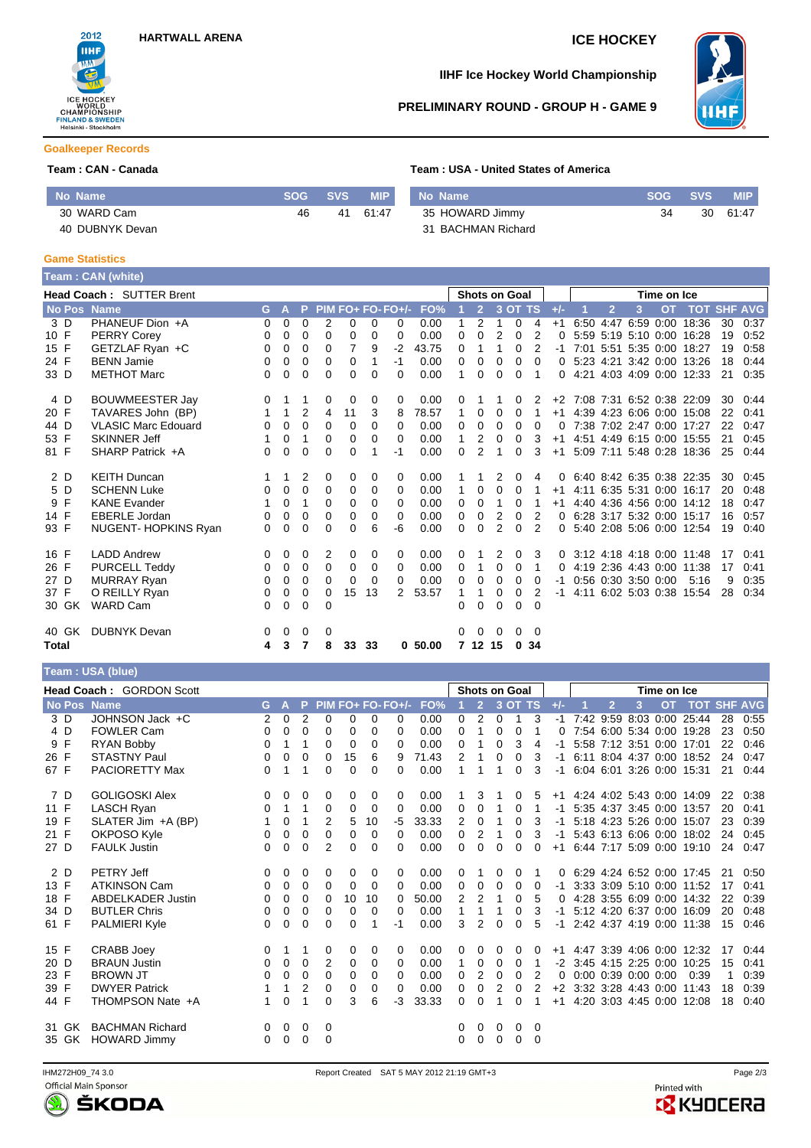

# **IIHF Ice Hockey World Championship**



#### **PRELIMINARY ROUND - GROUP H - GAME 9**

#### **Goalkeeper Records**

### **Team : CAN - Canada Team : USA - United States of America**

| No Name         | <b>SOG</b> | <b>SVS</b> | <b>MIP</b> | No Name            | SOG 1 | <b>SVS</b> | <b>MIP</b> |
|-----------------|------------|------------|------------|--------------------|-------|------------|------------|
| 30 WARD Cam     | 46         | 41         | 61:47      | 35 HOWARD Jimmy    | 34    | 30         | 61:47      |
| 40 DUBNYK Devan |            |            |            | 31 BACHMAN Richard |       |            |            |

#### **Game Statistics**

Г

|       |                                 | Team: CAN (white)          |          |              |                |             |          |          |                   |          |              |                |                      |              |                |          |                |                     |             |                              |    |                |
|-------|---------------------------------|----------------------------|----------|--------------|----------------|-------------|----------|----------|-------------------|----------|--------------|----------------|----------------------|--------------|----------------|----------|----------------|---------------------|-------------|------------------------------|----|----------------|
|       | <b>Head Coach: SUTTER Brent</b> |                            |          |              |                |             |          |          |                   |          |              |                | <b>Shots on Goal</b> |              |                |          |                |                     | Time on Ice |                              |    |                |
|       |                                 | No Pos Name                | G.       | $\mathbf{A}$ | P              |             |          |          | $PIM FO+FO-FO+/-$ | FO%      |              | $\overline{2}$ |                      | 3 OT TS      |                | $+/-$    | $\overline{2}$ | 3                   | <b>OT</b>   | <b>TOT</b>                   |    | <b>SHF AVG</b> |
|       | 3 D                             | PHANEUF Dion +A            | $\Omega$ | 0            | $\Omega$       | 2           | 0        | 0        | $\Omega$          | 0.00     | 1            | 2              | 1                    | $\Omega$     | 4              | $+1$     |                | 6:50 4:47 6:59 0:00 |             | 18:36                        | 30 | 0:37           |
| 10 F  |                                 | <b>PERRY Corey</b>         | 0        | 0            | $\Omega$       | $\Omega$    | 0        | 0        | $\Omega$          | 0.00     | 0            | $\Omega$       | 2                    | $\Omega$     | $\overline{2}$ | 0        |                |                     |             | 5:59 5:19 5:10 0:00 16:28    | 19 | 0:52           |
| 15 F  |                                 | GETZLAF Ryan +C            | 0        | 0            | 0              | $\Omega$    | 7        | 9        | $-2$              | 43.75    | 0            | 1              | 1                    | $\Omega$     | 2              | $-1$     |                |                     |             | 7:01 5:51 5:35 0:00 18:27    | 19 | 0:58           |
| 24 F  |                                 | <b>BENN Jamie</b>          | 0        | 0            | 0              | 0           | 0        | 1        | $-1$              | 0.00     | 0            | 0              | 0                    | 0            | $\Omega$       |          |                |                     |             | 0 5:23 4:21 3:42 0:00 13:26  | 18 | 0:44           |
| 33 D  |                                 | <b>METHOT Marc</b>         | 0        | $\Omega$     | $\Omega$       | $\Omega$    | 0        | 0        | $\Omega$          | 0.00     | 1            | $\Omega$       | $\Omega$             | 0            |                | 0        |                |                     |             | 4:21 4:03 4:09 0:00 12:33    | 21 | 0:35           |
| 4 D   |                                 | <b>BOUWMEESTER Jay</b>     | $\Omega$ |              |                | 0           | 0        | 0        | 0                 | 0.00     | 0            |                |                      | 0            | 2              |          |                |                     |             | +2 7:08 7:31 6:52 0:38 22:09 | 30 | 0:44           |
| 20 F  |                                 | TAVARES John (BP)          |          | 1            | $\overline{2}$ | 4           | 11       | 3        | 8                 | 78.57    | $\mathbf{1}$ | 0              | $\Omega$             | $\Omega$     | $\overline{1}$ | $+1$     |                |                     |             | 4:39 4:23 6:06 0:00 15:08    | 22 | 0:41           |
| 44 D  |                                 | <b>VLASIC Marc Edouard</b> | 0        | 0            | $\Omega$       | $\mathbf 0$ | 0        | 0        | $\Omega$          | 0.00     | $\Omega$     | 0              | $\Omega$             | 0            | 0              | 0        |                |                     |             | 7:38 7:02 2:47 0:00 17:27    | 22 | 0:47           |
| 53 F  |                                 | <b>SKINNER Jeff</b>        |          | 0            | 1              | $\Omega$    | $\Omega$ | 0        | $\Omega$          | 0.00     | 1.           | 2              | $\Omega$             | $\Omega$     | 3              | $+1$     |                |                     |             | 4:51 4:49 6:15 0:00 15:55    | 21 | 0:45           |
| 81 F  |                                 | SHARP Patrick +A           | 0        | 0            | 0              | 0           | 0        |          | $-1$              | 0.00     | 0            | 2              |                      | 0            | 3              | $+1$     |                |                     |             | 5:09 7:11 5:48 0:28 18:36    | 25 | 0:44           |
|       | 2 D                             | <b>KEITH Duncan</b>        |          |              | 2              | 0           | 0        | 0        | 0                 | 0.00     |              |                | 2                    | 0            | 4              | 0        |                |                     |             | 6.40 8.42 6.35 0.38 22:35    | 30 | 0:45           |
| 5 D   |                                 | <b>SCHENN Luke</b>         | 0        | 0            | $\Omega$       | $\Omega$    | 0        | 0        | $\Omega$          | 0.00     | 1.           | $\Omega$       | $\Omega$             | 0            |                | $+1$     |                |                     |             | 4:11 6:35 5:31 0:00 16:17    | 20 | 0:48           |
| 9 F   |                                 | <b>KANE Evander</b>        |          | 0            | 1              | 0           | 0        | 0        | $\Omega$          | 0.00     | 0            | 0              | 1                    | $\Omega$     |                | $+1$     |                |                     |             | 4:40 4:36 4:56 0:00 14:12    | 18 | 0:47           |
| 14 F  |                                 | <b>EBERLE Jordan</b>       | $\Omega$ | 0            | 0              | 0           | 0        | 0        | $\Omega$          | 0.00     | 0            | 0              | $\overline{2}$       | 0            | 2              | $\Omega$ |                |                     |             | 6.28 3.17 5.32 0.00 15.17    | 16 | 0:57           |
| 93 F  |                                 | NUGENT-HOPKINS Ryan        | $\Omega$ | $\Omega$     | $\Omega$       | $\Omega$    | 0        | 6        | -6                | 0.00     | 0            | $\Omega$       | 2                    | $\Omega$     | $\mathcal{P}$  | 0        |                |                     |             | 5:40 2:08 5:06 0:00 12:54    | 19 | 0:40           |
| 16 F  |                                 | <b>LADD Andrew</b>         | $\Omega$ | 0            | $\Omega$       | 2           | 0        | 0        | $\Omega$          | 0.00     | 0            |                | 2                    | 0            | 3              | $\Omega$ |                |                     |             | 3:12 4:18 4:18 0:00 11:48    | 17 | 0:41           |
| 26 F  |                                 | <b>PURCELL Teddy</b>       | $\Omega$ | $\mathbf 0$  | 0              | $\Omega$    | 0        | 0        | $\Omega$          | 0.00     | 0            | $\mathbf{1}$   | $\Omega$             | 0            | 1              | 0        |                |                     |             | 4:19 2:36 4:43 0:00 11:38    | 17 | 0:41           |
| 27 D  |                                 | <b>MURRAY Ryan</b>         | 0        | 0            | $\Omega$       | $\Omega$    | $\Omega$ | $\Omega$ | $\Omega$          | 0.00     | 0            | 0              | $\Omega$             | $\Omega$     | 0              | $-1$     |                | 0:56 0:30 3:50 0:00 |             | 5:16                         | 9  | 0:35           |
| 37 F  |                                 | O REILLY Ryan              | 0        | 0            | 0              | $\Omega$    | 15       | 13       | $\mathcal{P}$     | 53.57    | 1            | 1              | 0                    | 0            | 2              | -1       |                |                     |             | 4:11 6:02 5:03 0:38 15:54    | 28 | 0:34           |
|       | 30 GK                           | <b>WARD Cam</b>            | $\Omega$ | 0            | 0              | $\Omega$    |          |          |                   |          | 0            | $\Omega$       | 0                    | 0            | $\Omega$       |          |                |                     |             |                              |    |                |
|       | 40 GK                           | <b>DUBNYK Devan</b>        | $\Omega$ | 0            | 0              | 0           |          |          |                   |          | 0            | 0              | 0                    | $\mathbf{0}$ | $\overline{0}$ |          |                |                     |             |                              |    |                |
| Total |                                 |                            | 4        | 3            | 7              | 8           | 33       | 33       |                   | 0, 50.00 |              | 7 12 15        |                      | 0.34         |                |          |                |                     |             |                              |    |                |

# **Team : USA (blue)**

|      | Head Coach: GORDON Scott |                          |    |              |             |                |             |                   |          |       | <b>Shots on Goal</b> |                |          |          |          |       | Time on Ice |                |                     |           |                           |    |      |
|------|--------------------------|--------------------------|----|--------------|-------------|----------------|-------------|-------------------|----------|-------|----------------------|----------------|----------|----------|----------|-------|-------------|----------------|---------------------|-----------|---------------------------|----|------|
|      |                          | No Pos Name              | G. | $\mathbf{A}$ | P.          |                |             | PIM FO+ FO- FO+/- |          | FO%   |                      | $\overline{2}$ |          | 3 OT TS  |          | $+/-$ |             | $\overline{2}$ | 3                   | <b>OT</b> | <b>TOT SHF AVG</b>        |    |      |
|      | 3 D                      | JOHNSON Jack +C          | 2  | 0            | 2           | 0              | 0           | 0                 | $\Omega$ | 0.00  | 0                    | 2              | 0        | 1        | 3        | $-1$  |             |                |                     |           | 7:42 9:59 8:03 0:00 25:44 | 28 | 0:55 |
|      | 4 D                      | <b>FOWLER Cam</b>        | 0  | $\Omega$     | 0           | 0              | 0           | 0                 | $\Omega$ | 0.00  | 0                    | 1              | $\Omega$ | 0        |          | 0     |             |                | 7:54 6:00 5:34 0:00 |           | 19:28                     | 23 | 0:50 |
|      | 9 F                      | RYAN Bobby               | 0  | 1            | 1           | 0              | $\mathbf 0$ | 0                 | $\Omega$ | 0.00  | 0                    | 1              | 0        | 3        | 4        | -1    |             |                |                     |           | 5:58 7:12 3:51 0:00 17:01 | 22 | 0:46 |
| 26 F |                          | <b>STASTNY Paul</b>      | 0  | 0            | 0           | 0              | 15          | 6                 | 9        | 71.43 | 2                    |                | $\Omega$ | $\Omega$ | 3        | -1    |             |                |                     |           | 6:11 8:04 4:37 0:00 18:52 | 24 | 0:47 |
| 67 F |                          | <b>PACIORETTY Max</b>    | 0  |              | 1           | 0              | 0           | 0                 | 0        | 0.00  |                      |                |          | 0        | 3        | -1    |             |                | 6:04 6:01 3:26 0:00 |           | 15:31                     | 21 | 0:44 |
|      | 7 D                      | <b>GOLIGOSKI Alex</b>    | 0  | 0            | 0           | 0              | 0           | 0                 | $\Omega$ | 0.00  | 1                    | 3              |          | 0        | 5        | $+1$  |             |                |                     |           | 4:24 4:02 5:43 0:00 14:09 | 22 | 0:38 |
| 11 F |                          | LASCH Ryan               | 0  | 1            | 1           | 0              | 0           | 0                 | $\Omega$ | 0.00  | 0                    | 0              |          | 0        |          | -1    |             |                | 5:35 4:37 3:45 0:00 |           | 13:57                     | 20 | 0:41 |
| 19 F |                          | SLATER Jim +A (BP)       |    | 0            | 1           | $\overline{2}$ | 5           | 10                | -5       | 33.33 | 2                    | 0              |          | 0        | 3        | -1    |             |                | 5:18 4:23 5:26 0:00 |           | 15:07                     | 23 | 0:39 |
| 21 F |                          | OKPOSO Kyle              | 0  | 0            | 0           | 0              | 0           | 0                 | $\Omega$ | 0.00  | 0                    | 2              | 1        | $\Omega$ | 3        | $-1$  |             |                |                     |           | 5:43 6:13 6:06 0:00 18:02 | 24 | 0:45 |
| 27 D |                          | <b>FAULK Justin</b>      | 0  | 0            | 0           | $\overline{2}$ | 0           | 0                 | $\Omega$ | 0.00  | $\Omega$             | $\Omega$       | $\Omega$ | 0        | 0        | $+1$  |             |                |                     |           | 6:44 7:17 5:09 0:00 19:10 | 24 | 0:47 |
|      | 2D                       | PETRY Jeff               | 0  | 0            | 0           | 0              | 0           | 0                 | 0        | 0.00  | 0                    |                | 0        | 0        |          | 0     |             |                |                     |           | 6:29 4:24 6:52 0:00 17:45 | 21 | 0:50 |
| 13 F |                          | <b>ATKINSON Cam</b>      | 0  | 0            | 0           | 0              | 0           | 0                 | $\Omega$ | 0.00  | 0                    | 0              | 0        | 0        | $\Omega$ | -1    |             |                | 3:33 3:09 5:10 0:00 |           | 11:52                     | 17 | 0:41 |
| 18 F |                          | <b>ABDELKADER Justin</b> | 0  | 0            | 0           | $\Omega$       | 10          | 10                | 0        | 50.00 | 2                    | $\overline{2}$ | 1        | $\Omega$ | 5        | 0     |             |                |                     |           | 4:28 3:55 6:09 0:00 14:32 | 22 | 0:39 |
| 34 D |                          | <b>BUTLER Chris</b>      | 0  | 0            | 0           | 0              | 0           | 0                 | $\Omega$ | 0.00  | $\mathbf{1}$         |                | 1        | 0        | 3        | -1    |             |                | 5:12 4:20 6:37 0:00 |           | 16:09                     | 20 | 0:48 |
| 61 F |                          | PALMIERI Kyle            | 0  | 0            | 0           | 0              | 0           | 1                 | $-1$     | 0.00  | 3                    | $\overline{2}$ | $\Omega$ | $\Omega$ | 5        | $-1$  |             |                |                     |           | 2:42 4:37 4:19 0:00 11:38 | 15 | 0:46 |
| 15 F |                          | <b>CRABB Joey</b>        | 0  |              | 1           | 0              | 0           | 0                 | $\Omega$ | 0.00  | 0                    | 0              | 0        | 0        | 0        | $+1$  |             |                |                     |           | 4:47 3:39 4:06 0:00 12:32 | 17 | 0:44 |
| 20 D |                          | <b>BRAUN Justin</b>      | 0  | 0            | 0           | 2              | 0           | 0                 | $\Omega$ | 0.00  | $\mathbf{1}$         | 0              | 0        | 0        |          | $-2$  |             |                | 3:45 4:15 2:25 0:00 |           | 10:25                     | 15 | 0:41 |
| 23 F |                          | <b>BROWN JT</b>          | 0  | 0            | 0           | 0              | 0           | 0                 | $\Omega$ | 0.00  | 0                    | 2              | 0        | 0        | 2        | 0     |             |                | 0:00 0:39 0:00 0:00 |           | 0:39                      | -1 | 0:39 |
| 39 F |                          | <b>DWYER Patrick</b>     | 1  | 1            | 2           | 0              | 0           | 0                 | $\Omega$ | 0.00  | 0                    | 0              | 2        | 0        | 2        | $+2$  |             |                | 3:32 3:28 4:43 0:00 |           | 11:43                     | 18 | 0:39 |
| 44 F |                          | THOMPSON Nate +A         |    | 0            | 1           | 0              | 3           | 6                 | -3       | 33.33 | 0                    | 0              |          | 0        |          | $+1$  |             |                | 4:20 3:03 4:45 0:00 |           | 12:08                     | 18 | 0:40 |
|      | 31 GK                    | <b>BACHMAN Richard</b>   | 0  | 0            | 0           | 0              |             |                   |          |       | 0                    | 0              | 0        | 0        | 0        |       |             |                |                     |           |                           |    |      |
|      | 35 GK                    | <b>HOWARD Jimmy</b>      | 0  | 0            | $\mathbf 0$ | 0              |             |                   |          |       | 0                    | 0              | $\Omega$ | 0        | $\Omega$ |       |             |                |                     |           |                           |    |      |